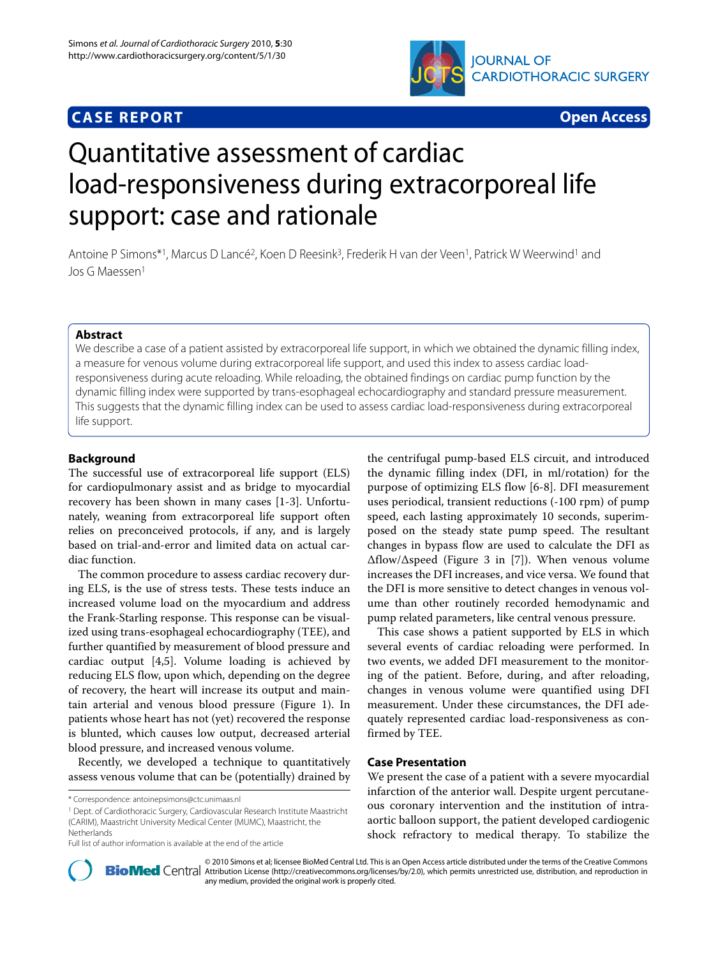# **CASE REPORT Open Access**



# Quantitative assessment of cardiac load-responsiveness during extracorporeal life support: case and rationale

Antoine P Simons\*1, Marcus D Lancé2, Koen D Reesink3, Frederik H van der Veen1, Patrick W Weerwind1 and Jos G Maessen<sup>1</sup>

## **Abstract**

We describe a case of a patient assisted by extracorporeal life support, in which we obtained the dynamic filling index, a measure for venous volume during extracorporeal life support, and used this index to assess cardiac loadresponsiveness during acute reloading. While reloading, the obtained findings on cardiac pump function by the dynamic filling index were supported by trans-esophageal echocardiography and standard pressure measurement. This suggests that the dynamic filling index can be used to assess cardiac load-responsiveness during extracorporeal life support.

# **Background**

The successful use of extracorporeal life support (ELS) for cardiopulmonary assist and as bridge to myocardial recovery has been shown in many cases [[1-](#page-3-0)[3](#page-3-1)]. Unfortunately, weaning from extracorporeal life support often relies on preconceived protocols, if any, and is largely based on trial-and-error and limited data on actual cardiac function.

The common procedure to assess cardiac recovery during ELS, is the use of stress tests. These tests induce an increased volume load on the myocardium and address the Frank-Starling response. This response can be visualized using trans-esophageal echocardiography (TEE), and further quantified by measurement of blood pressure and cardiac output [[4,](#page-3-2)[5\]](#page-3-3). Volume loading is achieved by reducing ELS flow, upon which, depending on the degree of recovery, the heart will increase its output and maintain arterial and venous blood pressure (Figure [1\)](#page-1-0). In patients whose heart has not (yet) recovered the response is blunted, which causes low output, decreased arterial blood pressure, and increased venous volume.

Recently, we developed a technique to quantitatively assess venous volume that can be (potentially) drained by

1 Dept. of Cardiothoracic Surgery, Cardiovascular Research Institute Maastricht (CARIM), Maastricht University Medical Center (MUMC), Maastricht, the Netherlands

Full list of author information is available at the end of the article

the centrifugal pump-based ELS circuit, and introduced the dynamic filling index (DFI, in ml/rotation) for the purpose of optimizing ELS flow [\[6](#page-3-4)-[8\]](#page-3-5). DFI measurement uses periodical, transient reductions (-100 rpm) of pump speed, each lasting approximately 10 seconds, superimposed on the steady state pump speed. The resultant changes in bypass flow are used to calculate the DFI as Δflow/Δspeed (Figure 3 in [[7\]](#page-3-6)). When venous volume increases the DFI increases, and vice versa. We found that the DFI is more sensitive to detect changes in venous volume than other routinely recorded hemodynamic and pump related parameters, like central venous pressure.

This case shows a patient supported by ELS in which several events of cardiac reloading were performed. In two events, we added DFI measurement to the monitoring of the patient. Before, during, and after reloading, changes in venous volume were quantified using DFI measurement. Under these circumstances, the DFI adequately represented cardiac load-responsiveness as confirmed by TEE.

# **Case Presentation**

We present the case of a patient with a severe myocardial infarction of the anterior wall. Despite urgent percutaneous coronary intervention and the institution of intraaortic balloon support, the patient developed cardiogenic shock refractory to medical therapy. To stabilize the



2010 Simons et al; licensee [BioMed](http://www.biomedcentral.com/) Central Ltd. This is an Open Access article distributed under the terms of the Creative Commons (http://creativecommons.org/licenses/by/2.0), which permits unrestricted use, distribution, any medium, provided the original work is properly cited.

<sup>\*</sup> Correspondence: antoinepsimons@ctc.unimaas.nl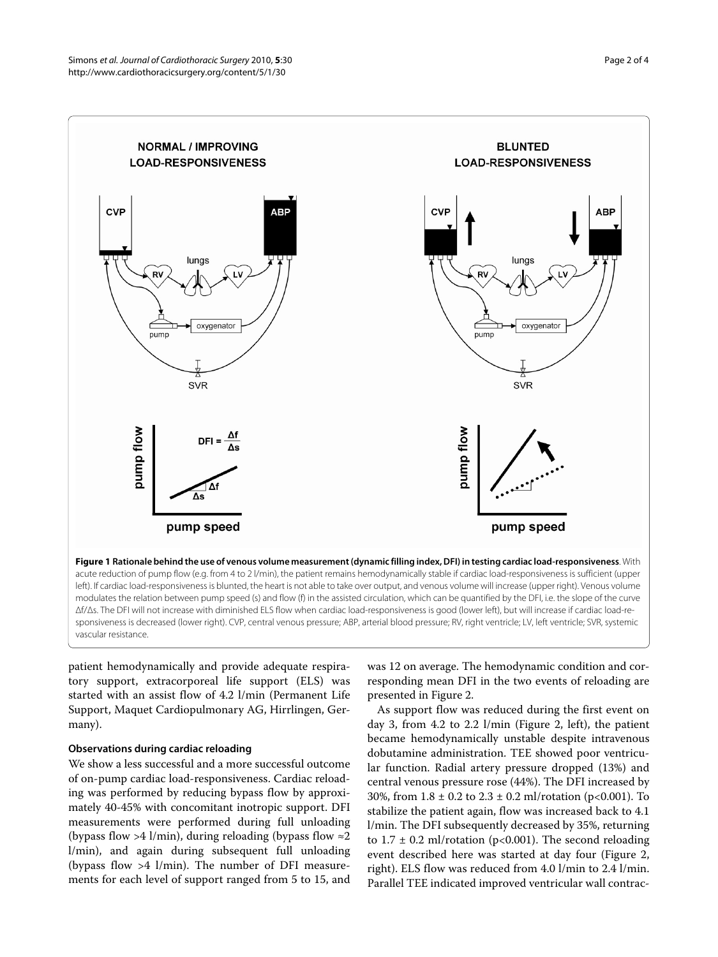<span id="page-1-0"></span>

acute reduction of pump flow (e.g. from 4 to 2 l/min), the patient remains hemodynamically stable if cardiac load-responsiveness is sufficient (upper left). If cardiac load-responsiveness is blunted, the heart is not able to take over output, and venous volume will increase (upper right). Venous volume modulates the relation between pump speed (s) and flow (f) in the assisted circulation, which can be quantified by the DFI, i.e. the slope of the curve Δf/Δs. The DFI will not increase with diminished ELS flow when cardiac load-responsiveness is good (lower left), but will increase if cardiac load-responsiveness is decreased (lower right). CVP, central venous pressure; ABP, arterial blood pressure; RV, right ventricle; LV, left ventricle; SVR, systemic vascular resistance.

patient hemodynamically and provide adequate respiratory support, extracorporeal life support (ELS) was started with an assist flow of 4.2 l/min (Permanent Life Support, Maquet Cardiopulmonary AG, Hirrlingen, Germany).

# **Observations during cardiac reloading**

We show a less successful and a more successful outcome of on-pump cardiac load-responsiveness. Cardiac reloading was performed by reducing bypass flow by approximately 40-45% with concomitant inotropic support. DFI measurements were performed during full unloading (bypass flow >4 l/min), during reloading (bypass flow  $\approx$ 2 l/min), and again during subsequent full unloading (bypass flow >4 l/min). The number of DFI measurements for each level of support ranged from 5 to 15, and was 12 on average. The hemodynamic condition and corresponding mean DFI in the two events of reloading are presented in Figure [2.](#page-2-0)

As support flow was reduced during the first event on day 3, from 4.2 to 2.2 l/min (Figure [2,](#page-2-0) left), the patient became hemodynamically unstable despite intravenous dobutamine administration. TEE showed poor ventricular function. Radial artery pressure dropped (13%) and central venous pressure rose (44%). The DFI increased by 30%, from  $1.8 \pm 0.2$  to  $2.3 \pm 0.2$  ml/rotation (p<0.001). To stabilize the patient again, flow was increased back to 4.1 l/min. The DFI subsequently decreased by 35%, returning to  $1.7 \pm 0.2$  ml/rotation (p<0.001). The second reloading event described here was started at day four (Figure [2](#page-2-0), right). ELS flow was reduced from 4.0 l/min to 2.4 l/min. Parallel TEE indicated improved ventricular wall contrac-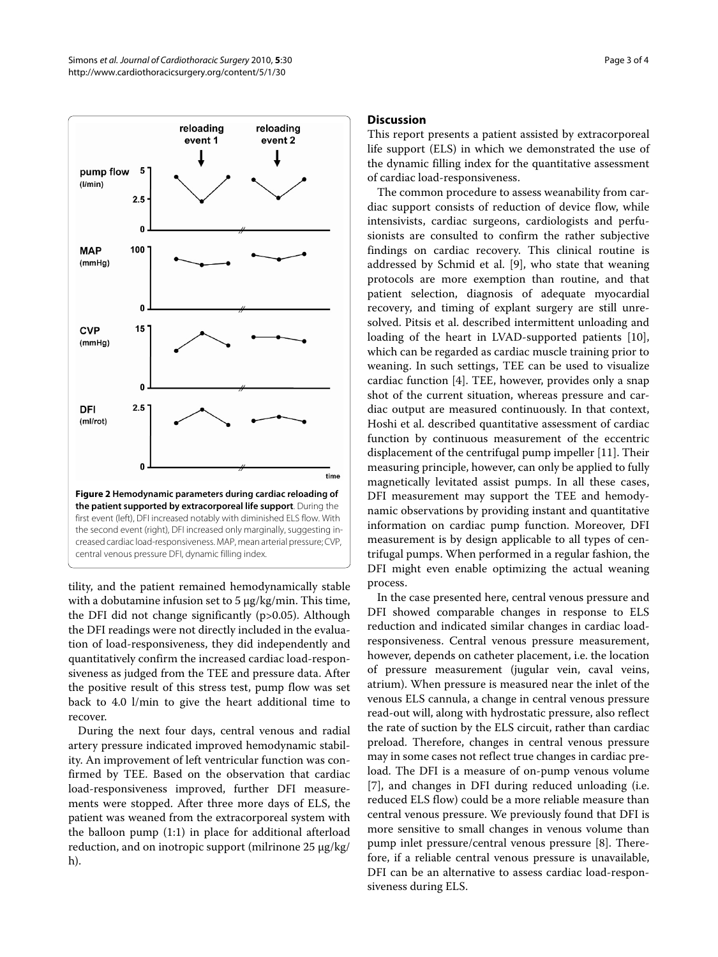<span id="page-2-0"></span>

tility, and the patient remained hemodynamically stable with a dobutamine infusion set to 5 μg/kg/min. This time, the DFI did not change significantly (p>0.05). Although the DFI readings were not directly included in the evaluation of load-responsiveness, they did independently and quantitatively confirm the increased cardiac load-responsiveness as judged from the TEE and pressure data. After the positive result of this stress test, pump flow was set back to 4.0 l/min to give the heart additional time to recover.

During the next four days, central venous and radial artery pressure indicated improved hemodynamic stability. An improvement of left ventricular function was confirmed by TEE. Based on the observation that cardiac load-responsiveness improved, further DFI measurements were stopped. After three more days of ELS, the patient was weaned from the extracorporeal system with the balloon pump (1:1) in place for additional afterload reduction, and on inotropic support (milrinone 25 μg/kg/ h).

# **Discussion**

This report presents a patient assisted by extracorporeal life support (ELS) in which we demonstrated the use of the dynamic filling index for the quantitative assessment of cardiac load-responsiveness.

The common procedure to assess weanability from cardiac support consists of reduction of device flow, while intensivists, cardiac surgeons, cardiologists and perfusionists are consulted to confirm the rather subjective findings on cardiac recovery. This clinical routine is addressed by Schmid et al. [[9\]](#page-3-7), who state that weaning protocols are more exemption than routine, and that patient selection, diagnosis of adequate myocardial recovery, and timing of explant surgery are still unresolved. Pitsis et al. described intermittent unloading and loading of the heart in LVAD-supported patients [\[10](#page-3-8)], which can be regarded as cardiac muscle training prior to weaning. In such settings, TEE can be used to visualize cardiac function [\[4](#page-3-2)]. TEE, however, provides only a snap shot of the current situation, whereas pressure and cardiac output are measured continuously. In that context, Hoshi et al. described quantitative assessment of cardiac function by continuous measurement of the eccentric displacement of the centrifugal pump impeller [\[11](#page-3-9)]. Their measuring principle, however, can only be applied to fully magnetically levitated assist pumps. In all these cases, DFI measurement may support the TEE and hemodynamic observations by providing instant and quantitative information on cardiac pump function. Moreover, DFI measurement is by design applicable to all types of centrifugal pumps. When performed in a regular fashion, the DFI might even enable optimizing the actual weaning process.

In the case presented here, central venous pressure and DFI showed comparable changes in response to ELS reduction and indicated similar changes in cardiac loadresponsiveness. Central venous pressure measurement, however, depends on catheter placement, i.e. the location of pressure measurement (jugular vein, caval veins, atrium). When pressure is measured near the inlet of the venous ELS cannula, a change in central venous pressure read-out will, along with hydrostatic pressure, also reflect the rate of suction by the ELS circuit, rather than cardiac preload. Therefore, changes in central venous pressure may in some cases not reflect true changes in cardiac preload. The DFI is a measure of on-pump venous volume [[7\]](#page-3-6), and changes in DFI during reduced unloading (i.e. reduced ELS flow) could be a more reliable measure than central venous pressure. We previously found that DFI is more sensitive to small changes in venous volume than pump inlet pressure/central venous pressure [[8\]](#page-3-5). Therefore, if a reliable central venous pressure is unavailable, DFI can be an alternative to assess cardiac load-responsiveness during ELS.